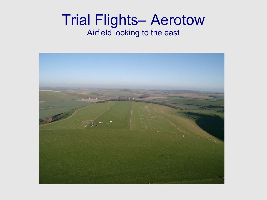#### Trial Flights– Aerotow Airfield looking to the east

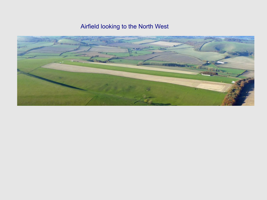Airfield looking to the North West

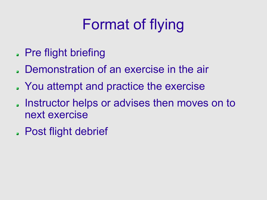# Format of flying

- Pre flight briefing
- Demonstration of an exercise in the air
- You attempt and practice the exercise
- . Instructor helps or advises then moves on to next exercise
- Post flight debrief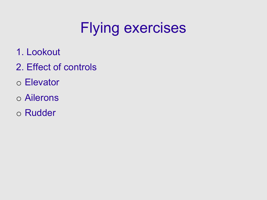- 1. Lookout
- 2. Effect of controls
- o Elevator
- o Ailerons
- o Rudder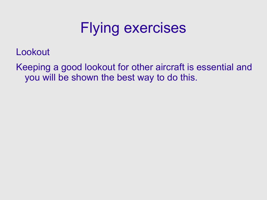Lookout

Keeping a good lookout for other aircraft is essential and you will be shown the best way to do this.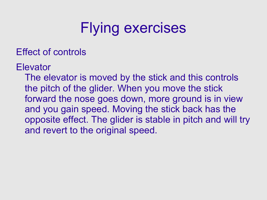Effect of controls

**Elevator** 

The elevator is moved by the stick and this controls the pitch of the glider. When you move the stick forward the nose goes down, more ground is in view and you gain speed. Moving the stick back has the opposite effect. The glider is stable in pitch and will try and revert to the original speed.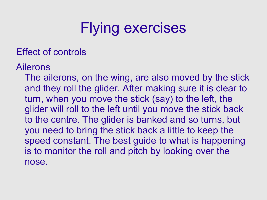#### Effect of controls

Ailerons

The ailerons, on the wing, are also moved by the stick and they roll the glider. After making sure it is clear to turn, when you move the stick (say) to the left, the glider will roll to the left until you move the stick back to the centre. The glider is banked and so turns, but you need to bring the stick back a little to keep the speed constant. The best guide to what is happening is to monitor the roll and pitch by looking over the nose.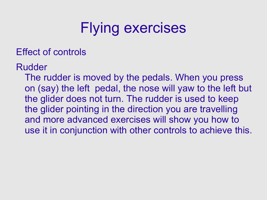Effect of controls

Rudder

The rudder is moved by the pedals. When you press on (say) the left pedal, the nose will yaw to the left but the glider does not turn. The rudder is used to keep the glider pointing in the direction you are travelling and more advanced exercises will show you how to use it in conjunction with other controls to achieve this.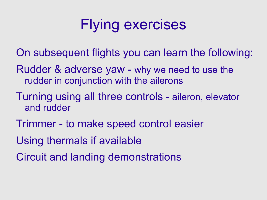- On subsequent flights you can learn the following:
- Rudder & adverse yaw why we need to use the rudder in conjunction with the ailerons
- Turning using all three controls aileron, elevator and rudder
- Trimmer to make speed control easier
- Using thermals if available
- Circuit and landing demonstrations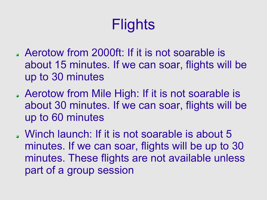## **Flights**

- Aerotow from 2000ft: If it is not soarable is about 15 minutes. If we can soar, flights will be up to 30 minutes
- Aerotow from Mile High: If it is not soarable is about 30 minutes. If we can soar, flights will be up to 60 minutes
- Winch launch: If it is not soarable is about 5 minutes. If we can soar, flights will be up to 30 minutes. These flights are not available unless part of a group session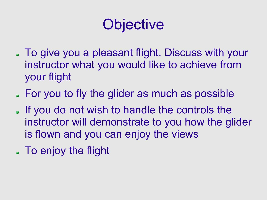## **Objective**

- To give you a pleasant flight. Discuss with your instructor what you would like to achieve from your flight
- For you to fly the glider as much as possible
- . If you do not wish to handle the controls the instructor will demonstrate to you how the glider is flown and you can enjoy the views
- To enjoy the flight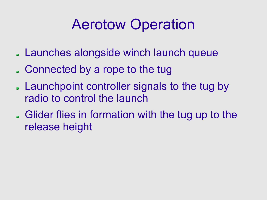## Aerotow Operation

- Launches alongside winch launch queue
- Connected by a rope to the tug
- Launchpoint controller signals to the tug by radio to control the launch
- Glider flies in formation with the tug up to the release height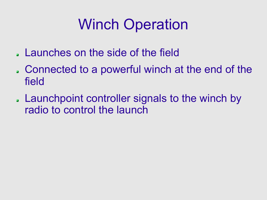## Winch Operation

- Launches on the side of the field
- Connected to a powerful winch at the end of the field
- Launchpoint controller signals to the winch by radio to control the launch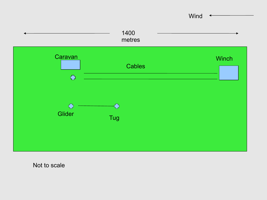

Not to scale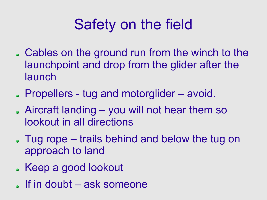## Safety on the field

- Cables on the ground run from the winch to the launchpoint and drop from the glider after the launch
- Propellers tug and motorglider avoid.
- Aircraft landing you will not hear them so lookout in all directions
- Tug rope trails behind and below the tug on approach to land
- . Keep a good lookout
- $\blacksquare$  If in doubt ask someone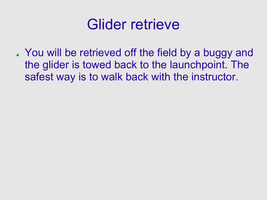

You will be retrieved off the field by a buggy and the glider is towed back to the launchpoint. The safest way is to walk back with the instructor.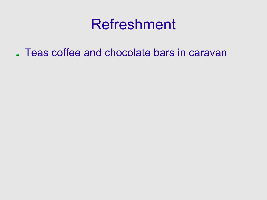### Refreshment

Teas coffee and chocolate bars in caravan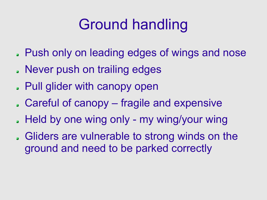## Ground handling

- Push only on leading edges of wings and nose
- Never push on trailing edges
- Pull glider with canopy open
- Careful of canopy fragile and expensive
- . Held by one wing only my wing/your wing
- Gliders are vulnerable to strong winds on the ground and need to be parked correctly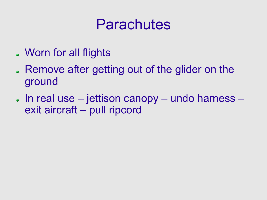## Parachutes

- Worn for all flights
- Remove after getting out of the glider on the ground
- In real use jettison canopy undo harness exit aircraft – pull ripcord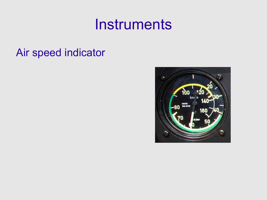#### **Instruments**

#### Air speed indicator

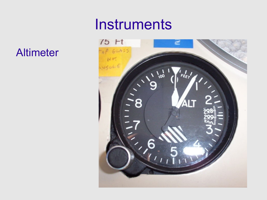#### Altimeter

#### **Instruments**

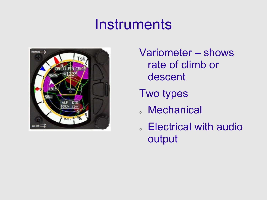## **Instruments**



Variometer – shows rate of climb or descent

Two types

- <sup>o</sup> Mechanical
- <sup>o</sup> Electrical with audio output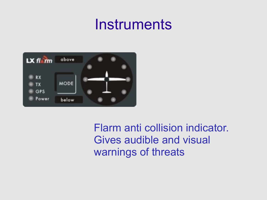### **Instruments**



Flarm anti collision indicator. Gives audible and visual warnings of threats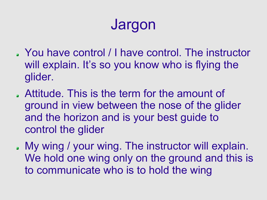## Jargon

- You have control / I have control. The instructor will explain. It's so you know who is flying the glider.
- Attitude. This is the term for the amount of ground in view between the nose of the glider and the horizon and is your best guide to control the glider
- My wing / your wing. The instructor will explain. We hold one wing only on the ground and this is to communicate who is to hold the wing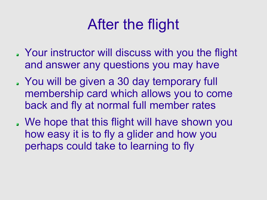## After the flight

- Your instructor will discuss with you the flight and answer any questions you may have
- You will be given a 30 day temporary full membership card which allows you to come back and fly at normal full member rates
- We hope that this flight will have shown you how easy it is to fly a glider and how you perhaps could take to learning to fly